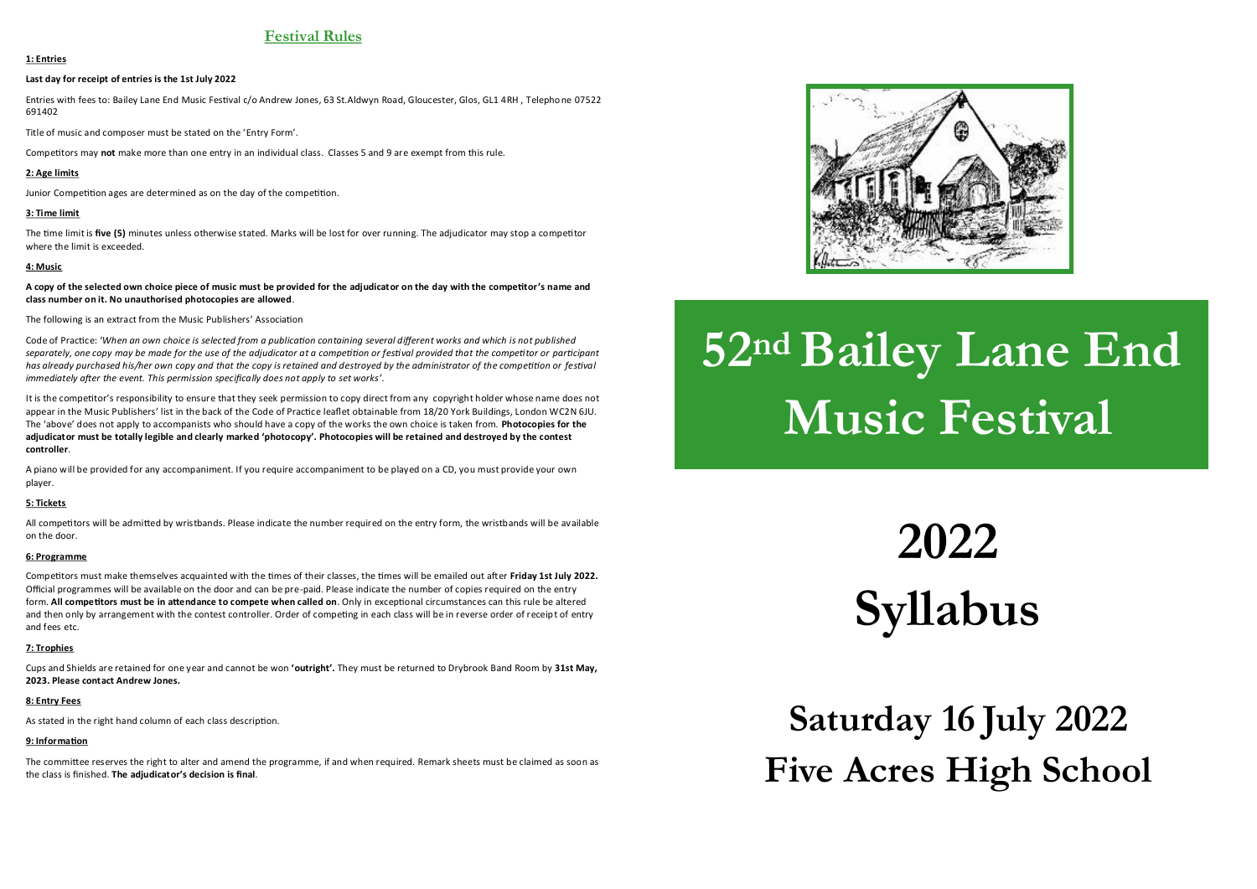# **Festival Rules**

### **1: Entries**

### **Last day for receipt of entries is the 1st July 2022**

Entries with fees to: Bailey Lane End Music Festival c/o Andrew Jones, 63 St.Aldwyn Road, Gloucester, Glos, GL1 4RH , Telephone 07522 691402

Title of music and composer must be stated on the 'Entry Form'.

Competitors may **not** make more than one entry in an individual class. Classes 5 and 9 are exempt from this rule.

### **2: Age limits**

Junior Competition ages are determined as on the day of the competition.

## **3: Time limit**

The time limit is **five (5)** minutes unless otherwise stated. Marks will be lost for over running. The adjudicator may stop a competitor where the limit is exceeded.

### **4: Music**

**A copy of the selected own choice piece of music must be provided for the adjudicator on the day with the competitor's name and class number on it. No unauthorised photocopies are allowed**.

The following is an extract from the Music Publishers' Association

Code of Practice: *'When an own choice is selected from a publication containing several different works and which is not published separately, one copy may be made for the use of the adjudicator at a competition or festival provided that the competitor or participant has already purchased his/her own copy and that the copy is retained and destroyed by the administrator of the competition or festival immediately after the event. This permission specifically does not apply to set works'*.

It is the competitor's responsibility to ensure that they seek permission to copy direct from any copyright holder whose name does not appear in the Music Publishers' list in the back of the Code of Practice leaflet obtainable from 18/20 York Buildings, London WC2N 6JU. The 'above' does not apply to accompanists who should have a copy of the works the own choice is taken from. **Photocopies for the adjudicator must be totally legible and clearly marked 'photocopy'. Photocopies will be retained and destroyed by the contest controller**.

A piano will be provided for any accompaniment. If you require accompaniment to be played on a CD, you must provide your own player.

### **5: Tickets**

All competitors will be admitted by wristbands. Please indicate the number required on the entry form, the wristbands will be available on the door.

### **6: Programme**

Competitors must make themselves acquainted with the times of their classes, the times will be emailed out after **Friday 1st July 2022.** Official programmes will be available on the door and can be pre-paid. Please indicate the number of copies required on the entry form. **All competitors must be in attendance to compete when called on**. Only in exceptional circumstances can this rule be altered and then only by arrangement with the contest controller. Order of competing in each class will be in reverse order of receipt of entry and fees etc.

### **7: Trophies**

Cups and Shields are retained for one year and cannot be won **'outright'.** They must be returned to Drybrook Band Room by **31st May, 2023. Please contact Andrew Jones.**

### **8: Entry Fees**

As stated in the right hand column of each class description.

### **9: Information**

The committee reserves the right to alter and amend the programme, if and when required. Remark sheets must be claimed as soon as the class is finished. **The adjudicator's decision is final**.



# **52nd Bailey Lane End Music Festival**

**2022 Syllabus**

**Saturday 16 July 2022 Five Acres High School**